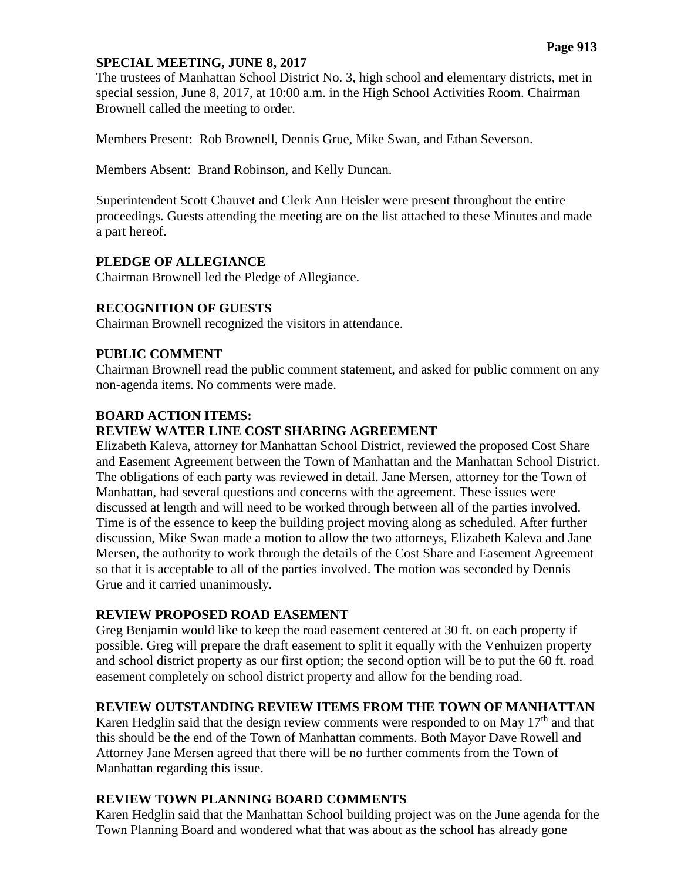# **SPECIAL MEETING, JUNE 8, 2017**

The trustees of Manhattan School District No. 3, high school and elementary districts, met in special session, June 8, 2017, at 10:00 a.m. in the High School Activities Room. Chairman Brownell called the meeting to order.

Members Present: Rob Brownell, Dennis Grue, Mike Swan, and Ethan Severson.

Members Absent: Brand Robinson, and Kelly Duncan.

Superintendent Scott Chauvet and Clerk Ann Heisler were present throughout the entire proceedings. Guests attending the meeting are on the list attached to these Minutes and made a part hereof.

### **PLEDGE OF ALLEGIANCE**

Chairman Brownell led the Pledge of Allegiance.

# **RECOGNITION OF GUESTS**

Chairman Brownell recognized the visitors in attendance.

### **PUBLIC COMMENT**

Chairman Brownell read the public comment statement, and asked for public comment on any non-agenda items. No comments were made.

### **BOARD ACTION ITEMS:**

# **REVIEW WATER LINE COST SHARING AGREEMENT**

Elizabeth Kaleva, attorney for Manhattan School District, reviewed the proposed Cost Share and Easement Agreement between the Town of Manhattan and the Manhattan School District. The obligations of each party was reviewed in detail. Jane Mersen, attorney for the Town of Manhattan, had several questions and concerns with the agreement. These issues were discussed at length and will need to be worked through between all of the parties involved. Time is of the essence to keep the building project moving along as scheduled. After further discussion, Mike Swan made a motion to allow the two attorneys, Elizabeth Kaleva and Jane Mersen, the authority to work through the details of the Cost Share and Easement Agreement so that it is acceptable to all of the parties involved. The motion was seconded by Dennis Grue and it carried unanimously.

# **REVIEW PROPOSED ROAD EASEMENT**

Greg Benjamin would like to keep the road easement centered at 30 ft. on each property if possible. Greg will prepare the draft easement to split it equally with the Venhuizen property and school district property as our first option; the second option will be to put the 60 ft. road easement completely on school district property and allow for the bending road.

# **REVIEW OUTSTANDING REVIEW ITEMS FROM THE TOWN OF MANHATTAN**

Karen Hedglin said that the design review comments were responded to on May  $17<sup>th</sup>$  and that this should be the end of the Town of Manhattan comments. Both Mayor Dave Rowell and Attorney Jane Mersen agreed that there will be no further comments from the Town of Manhattan regarding this issue.

# **REVIEW TOWN PLANNING BOARD COMMENTS**

Karen Hedglin said that the Manhattan School building project was on the June agenda for the Town Planning Board and wondered what that was about as the school has already gone